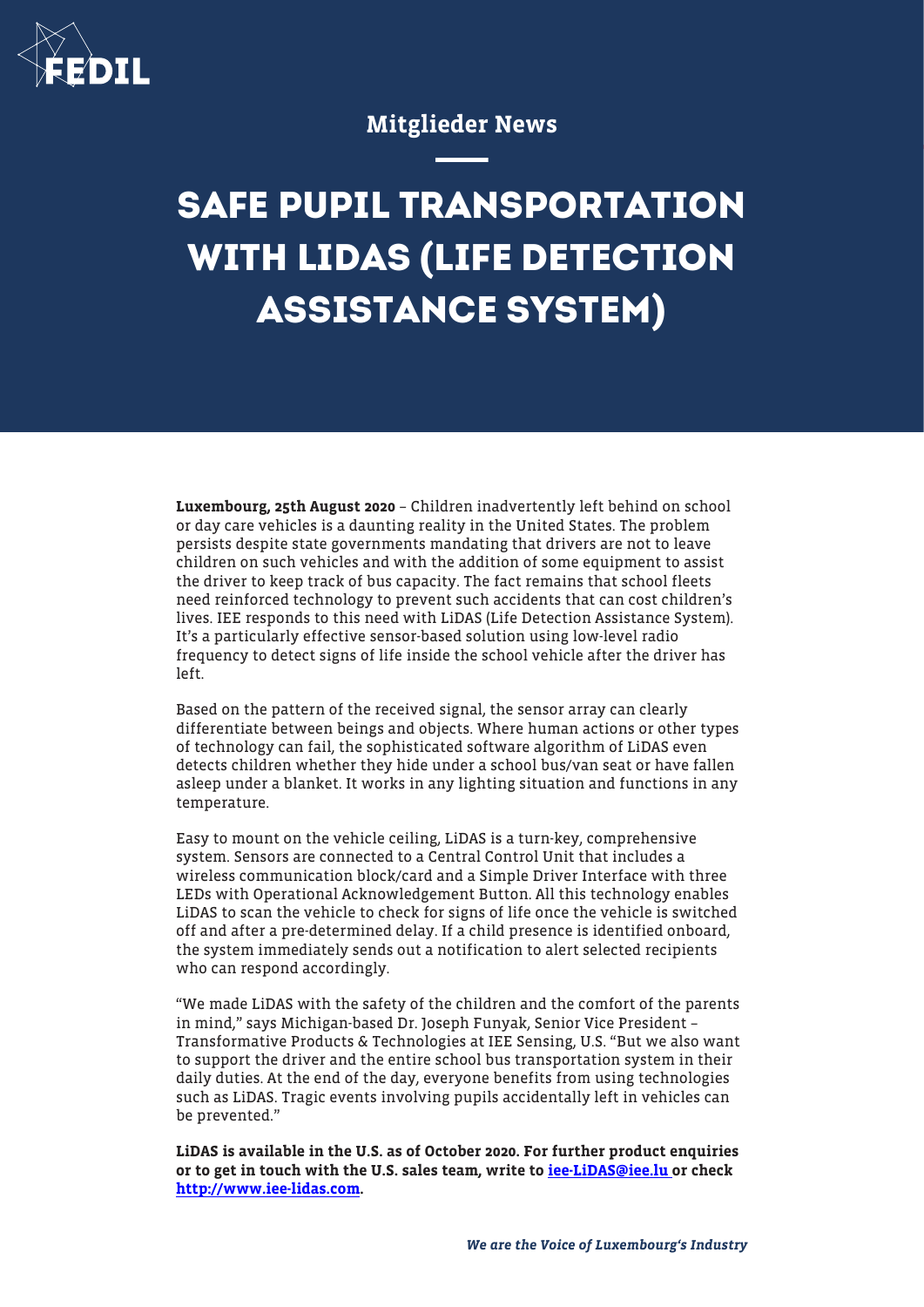

## Mitglieder News

## **SAFE PUPIL TRANSPORTATION WITH LIDAS (LIFE DETECTION ASSISTANCE SYSTEM)**

Luxembourg, 25th August 2020 – Children inadvertently left behind on school or day care vehicles is a daunting reality in the United States. The problem persists despite state governments mandating that drivers are not to leave children on such vehicles and with the addition of some equipment to assist the driver to keep track of bus capacity. The fact remains that school fleets need reinforced technology to prevent such accidents that can cost children's lives. IEE responds to this need with LiDAS (Life Detection Assistance System). It's a particularly effective sensor-based solution using low-level radio frequency to detect signs of life inside the school vehicle after the driver has left.

Based on the pattern of the received signal, the sensor array can clearly differentiate between beings and objects. Where human actions or other types of technology can fail, the sophisticated software algorithm of LiDAS even detects children whether they hide under a school bus/van seat or have fallen asleep under a blanket. It works in any lighting situation and functions in any temperature.

Easy to mount on the vehicle ceiling, LiDAS is a turn-key, comprehensive system. Sensors are connected to a Central Control Unit that includes a wireless communication block/card and a Simple Driver Interface with three LEDs with Operational Acknowledgement Button. All this technology enables LiDAS to scan the vehicle to check for signs of life once the vehicle is switched off and after a pre-determined delay. If a child presence is identified onboard, the system immediately sends out a notification to alert selected recipients who can respond accordingly.

"We made LiDAS with the safety of the children and the comfort of the parents in mind," says Michigan-based Dr. Joseph Funyak, Senior Vice President – Transformative Products & Technologies at IEE Sensing, U.S. "But we also want to support the driver and the entire school bus transportation system in their daily duties. At the end of the day, everyone benefits from using technologies such as LiDAS. Tragic events involving pupils accidentally left in vehicles can be prevented."

LiDAS is available in the U.S. as of October 2020. For further product enquiries or to get in touch with the U.S. sales team, write to [iee-LiDAS@iee.lu](mailto:iee-LiDAS@iee.lu) or check <http://www.iee-lidas.com>.